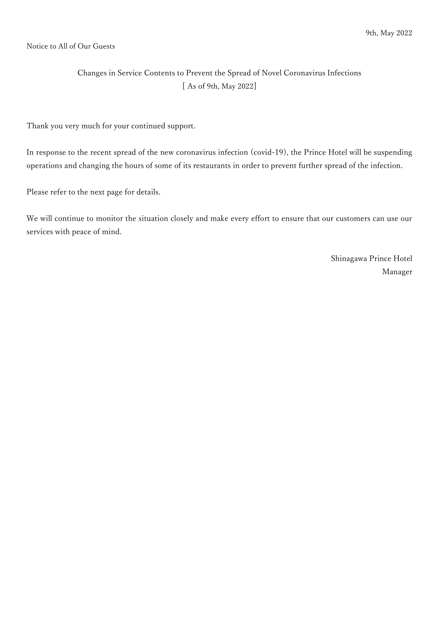#### Notice to All of Our Guests

### Changes in Service Contents to Prevent the Spread of Novel Coronavirus Infections [ As of 9th, May 2022]

Thank you very much for your continued support.

In response to the recent spread of the new coronavirus infection (covid-19), the Prince Hotel will be suspending operations and changing the hours of some of its restaurants in order to prevent further spread of the infection.

Please refer to the next page for details.

We will continue to monitor the situation closely and make every effort to ensure that our customers can use our services with peace of mind.

> Shinagawa Prince Hotel Manager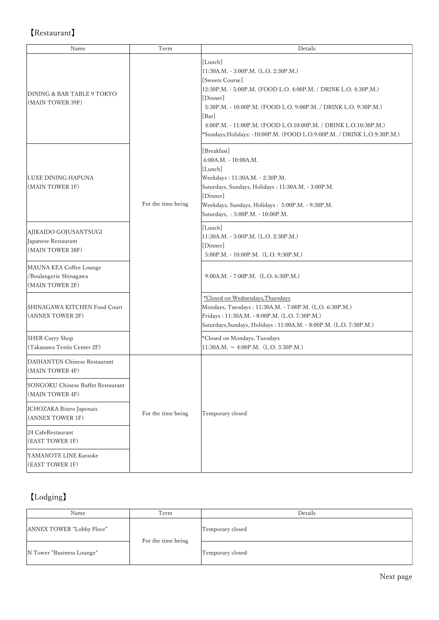## 【Restaurant】

| Name                                                                 | Term               | Details                                                                                                                                                                                                                                                                                                                                                                     |
|----------------------------------------------------------------------|--------------------|-----------------------------------------------------------------------------------------------------------------------------------------------------------------------------------------------------------------------------------------------------------------------------------------------------------------------------------------------------------------------------|
| DINING & BAR TABLE 9 TOKYO<br>(MAIN TOWER 39F)                       | For the time being | [Lunch]<br>11:30A.M. - 3:00P.M. (L.O. 2:30P.M.)<br>[Sweets Course]<br>12:30P.M. - 5:00P.M. (FOOD L.O. 4:00P.M. / DRINK L.O. 4:30P.M.)<br>[Dinner]<br>5:30P.M. - 10:00P.M. (FOOD L.O. 9:00P.M. / DRINK L.O. 9:30P.M.)<br>[Bar]<br>4:00P.M. - 11:00P.M. (FOOD L.O.10:00P.M. / DRINK L.O.10:30P.M.)<br>*Sundays, Holidays: -10:00P.M. (FOOD L.O.9:00P.M. / DRINK L.O.9:30P.M.) |
| LUXE DINING HAPUNA<br>(MAIN TOWER 1F)                                |                    | [Breakfast]<br>$6:00A.M. - 10:00A.M.$<br>[Lunch]<br>Weekdays: 11:30A.M. - 2:30P.M.<br>Saturdays, Sundays, Holidays: 11:30A.M. - 3:00P.M.<br>[Dinner]<br>Weekdays, Sundays, Holidays: 5:00P.M. - 9:30P.M.<br>Saturdays, : 5:00P.M. - 10:00P.M.                                                                                                                               |
| AJIKAIDO GOJUSANTSUGI<br>Japanese Restaurant<br>(MAIN TOWER 38F)     |                    | [Lunch]<br>11:30A.M. - 3:00P.M. (L.O. 2:30P.M.)<br>Dinner<br>5:00P.M. - 10:00P.M. (L.O. 9:30P.M.)                                                                                                                                                                                                                                                                           |
| MAUNA KEA Coffee Lounge<br>/Boulangerie Shinagawa<br>(MAIN TOWER 2F) |                    | $9:00A.M. - 7:00P.M.$ (L.O. 6:30P.M.)                                                                                                                                                                                                                                                                                                                                       |
| SHINAGAWA KITCHEN Food Court<br>(ANNEX TOWER 2F)                     |                    | *Closed on Wednesdays, Thursdays<br>Mondays, Tuesdays: 11:30A.M. - 7:00P.M. (L.O. 6:30P.M.)<br>Fridays: 11:30A.M. - 8:00P.M. (L.O. 7:30P.M.)<br>Saturdays, Sundays, Holidays: 11:00A.M. - 8:00P.M. (L.O. 7:30P.M.)                                                                                                                                                          |
| <b>SHER Curry Shop</b><br>(Takanawa Teniis Center 2F)                |                    | *Closed on Mondays, Tuesdays<br>$11:30A.M. \sim 4:00P.M.$ (L.O. 3:30P.M.)                                                                                                                                                                                                                                                                                                   |
| DAIHANTEN Chinese Restaurant<br>(MAIN TOWER 4F)                      | For the time being | Temporary closed                                                                                                                                                                                                                                                                                                                                                            |
| <b>SONGOKU Chinese Buffet Restaurant</b><br>(MAIN TOWER 4F)          |                    |                                                                                                                                                                                                                                                                                                                                                                             |
| ICHOZAKA Bistro Japonais<br>(ANNEX TOWER 1F)                         |                    |                                                                                                                                                                                                                                                                                                                                                                             |
| 24 CafeRestaurant<br>(EAST TOWER 1F)                                 |                    |                                                                                                                                                                                                                                                                                                                                                                             |
| YAMANOTE LINE Karaoke<br>(EAST TOWER 1F)                             |                    |                                                                                                                                                                                                                                                                                                                                                                             |

# 【Lodging】

| Name                      | Term               | Details          |
|---------------------------|--------------------|------------------|
| ANNEX TOWER "Lobby Floor" | For the time being | Temporary closed |
| N Tower "Business Lounge" |                    | Temporary closed |